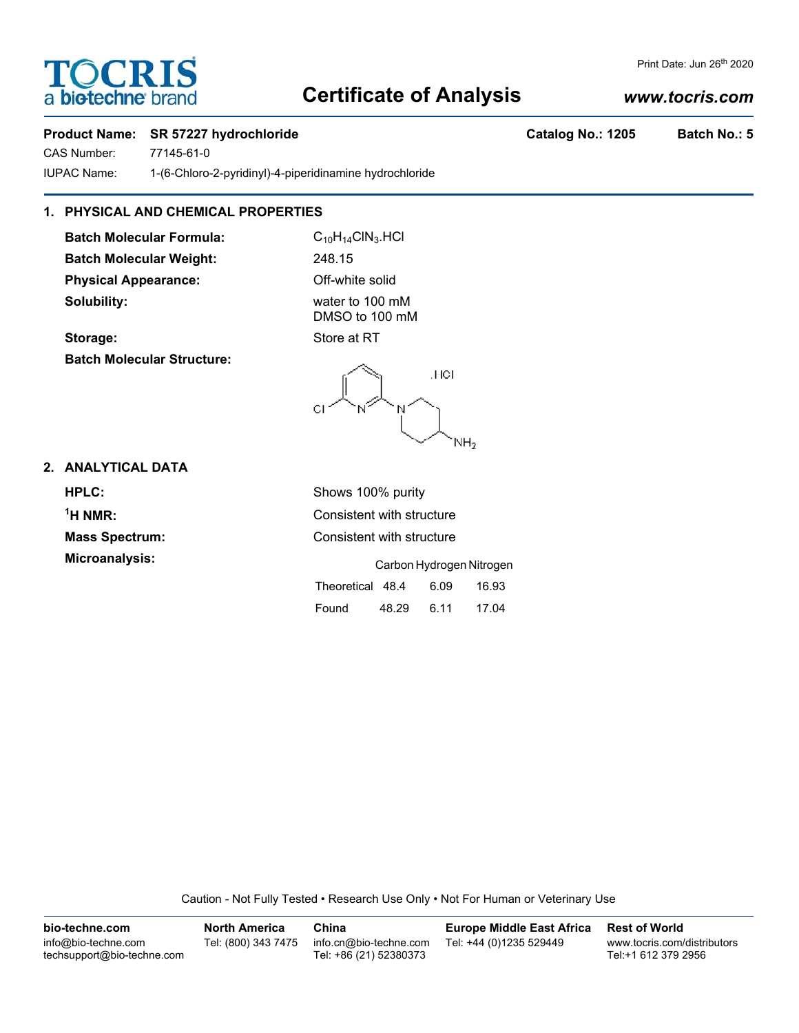# **TOCRIS** a **biotechne** bi

## **Certificate of Analysis**

## *www.tocris.com*

Print Date: Jun 26<sup>th</sup> 2020

### **Product Name: SR 57227 hydrochloride Catalog No.: 1205 Batch No.: 5**

CAS Number: 77145-61-0 IUPAC Name: 1-(6-Chloro-2-pyridinyl)-4-piperidinamine hydrochloride

### **1. PHYSICAL AND CHEMICAL PROPERTIES**

**Batch Molecular Formula:** C<sub>10</sub>H<sub>14</sub>ClN<sub>3</sub>.HCl **Batch Molecular Weight:** 248.15 **Physical Appearance:** Off-white solid **Solubility:** water to 100 mM

DMSO to 100 mM

**Storage:** Store at RT **Batch Molecular Structure:**

.HCI  $NH<sub>2</sub>$ 

Found 48.29 6.11 17.04

### **2. ANALYTICAL DATA**

**HPLC:** Shows 100% purity  $<sup>1</sup>H NMR$ </sup> **Consistent with structure Mass Spectrum:** Consistent with structure **Microanalysis:** Carbon Hydrogen Nitrogen Theoretical 48.4 6.09 16.93

Caution - Not Fully Tested • Research Use Only • Not For Human or Veterinary Use